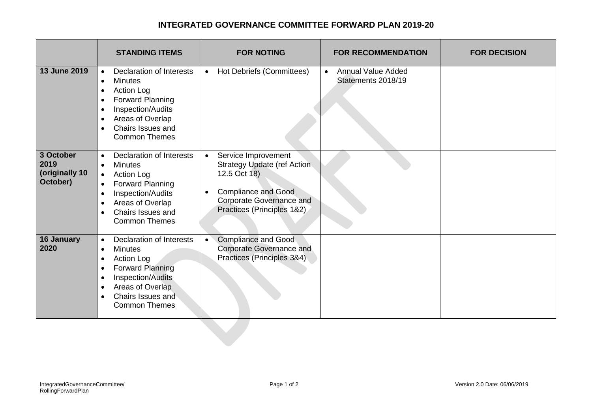## **INTEGRATED GOVERNANCE COMMITTEE FORWARD PLAN 2019-20**

|                                                 | <b>STANDING ITEMS</b>                                                                                                                                                                                                                                                       | <b>FOR NOTING</b>                                                                                                                                                                                  | <b>FOR RECOMMENDATION</b>                                    | <b>FOR DECISION</b> |
|-------------------------------------------------|-----------------------------------------------------------------------------------------------------------------------------------------------------------------------------------------------------------------------------------------------------------------------------|----------------------------------------------------------------------------------------------------------------------------------------------------------------------------------------------------|--------------------------------------------------------------|---------------------|
| 13 June 2019                                    | <b>Declaration of Interests</b><br>$\bullet$<br><b>Minutes</b><br>$\bullet$<br><b>Action Log</b><br>$\bullet$<br>Forward Planning<br>$\bullet$<br>Inspection/Audits<br>$\bullet$<br>Areas of Overlap<br>$\bullet$<br>Chairs Issues and<br>$\bullet$<br><b>Common Themes</b> | Hot Debriefs (Committees)<br>$\bullet$                                                                                                                                                             | <b>Annual Value Added</b><br>$\bullet$<br>Statements 2018/19 |                     |
| 3 October<br>2019<br>(originally 10<br>October) | <b>Declaration of Interests</b><br>$\bullet$<br><b>Minutes</b><br>$\bullet$<br><b>Action Log</b><br>$\bullet$<br>Forward Planning<br>Inspection/Audits<br>$\bullet$<br>Areas of Overlap<br>$\bullet$<br>Chairs Issues and<br>$\bullet$<br><b>Common Themes</b>              | Service Improvement<br>$\bullet$<br><b>Strategy Update (ref Action</b><br>12.5 Oct 18)<br><b>Compliance and Good</b><br>$\bullet$<br><b>Corporate Governance and</b><br>Practices (Principles 1&2) |                                                              |                     |
| <b>16 January</b><br>2020                       | <b>Declaration of Interests</b><br>$\bullet$<br><b>Minutes</b><br>$\bullet$<br>Action Log<br><b>Forward Planning</b><br>$\bullet$<br>Inspection/Audits<br>$\bullet$<br>Areas of Overlap<br>$\bullet$<br>Chairs Issues and<br>$\bullet$<br><b>Common Themes</b>              | <b>Compliance and Good</b><br>$\bullet$<br>Corporate Governance and<br>Practices (Principles 3&4)                                                                                                  |                                                              |                     |